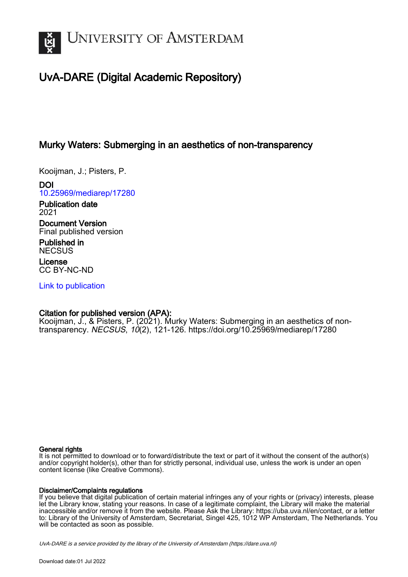

# UvA-DARE (Digital Academic Repository)

# Murky Waters: Submerging in an aesthetics of non-transparency

Kooijman, J.; Pisters, P.

DOI [10.25969/mediarep/17280](https://doi.org/10.25969/mediarep/17280)

Publication date 2021

Document Version Final published version

Published in **NECSUS** 

License CC BY-NC-ND

[Link to publication](https://dare.uva.nl/personal/pure/en/publications/murky-waters-submerging-in-an-aesthetics-of-nontransparency(e059d471-4133-49b6-a59e-2f04c3d75122).html)

### Citation for published version (APA):

Kooijman, J., & Pisters, P. (2021). Murky Waters: Submerging in an aesthetics of nontransparency. NECSUS, 10(2), 121-126. <https://doi.org/10.25969/mediarep/17280>

#### General rights

It is not permitted to download or to forward/distribute the text or part of it without the consent of the author(s) and/or copyright holder(s), other than for strictly personal, individual use, unless the work is under an open content license (like Creative Commons).

#### Disclaimer/Complaints regulations

If you believe that digital publication of certain material infringes any of your rights or (privacy) interests, please let the Library know, stating your reasons. In case of a legitimate complaint, the Library will make the material inaccessible and/or remove it from the website. Please Ask the Library: https://uba.uva.nl/en/contact, or a letter to: Library of the University of Amsterdam, Secretariat, Singel 425, 1012 WP Amsterdam, The Netherlands. You will be contacted as soon as possible.

UvA-DARE is a service provided by the library of the University of Amsterdam (http*s*://dare.uva.nl)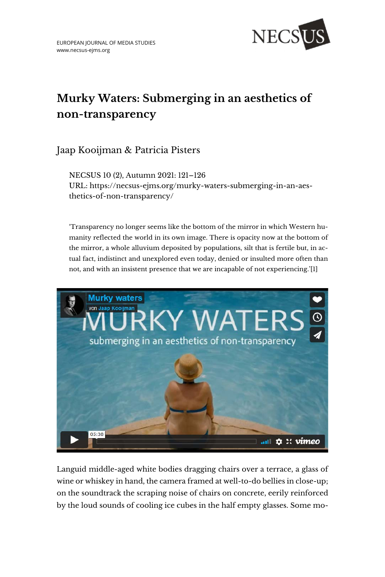

# **Murky Waters: Submerging in an aesthetics of non-transparency**

## Jaap Kooijman & Patricia Pisters

NECSUS 10 (2), Autumn 2021: 121–126 URL: [https://necsus-ejms.org/murky-waters-submerging-in-an-aes](https://necsus-ejms.org/murky-waters-submerging-in-an-aesthetics-of-non-transparency/)[thetics-of-non-transparency/](https://necsus-ejms.org/murky-waters-submerging-in-an-aesthetics-of-non-transparency/)

'Transparency no longer seems like the bottom of the mirror in which Western humanity reflected the world in its own image. There is opacity now at the bottom of the mirror, a whole alluvium deposited by populations, silt that is fertile but, in actual fact, indistinct and unexplored even today, denied or insulted more often than not, and with an insistent presence that we are incapable of not experiencing.'[1]



Languid middle-aged white bodies dragging chairs over a terrace, a glass of wine or whiskey in hand, the camera framed at well-to-do bellies in close-up; on the soundtrack the scraping noise of chairs on concrete, eerily reinforced by the loud sounds of cooling ice cubes in the half empty glasses. Some mo-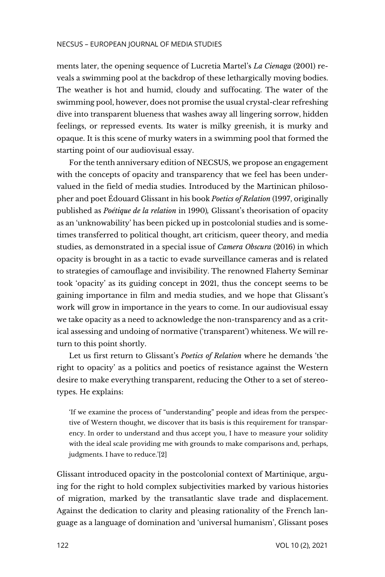#### NECSUS – EUROPEAN JOURNAL OF MEDIA STUDIES

ments later, the opening sequence of Lucretia Martel's *La Cienaga* (2001) reveals a swimming pool at the backdrop of these lethargically moving bodies. The weather is hot and humid, cloudy and suffocating. The water of the swimming pool, however, does not promise the usual crystal-clear refreshing dive into transparent blueness that washes away all lingering sorrow, hidden feelings, or repressed events. Its water is milky greenish, it is murky and opaque. It is this scene of murky waters in a swimming pool that formed the starting point of our audiovisual essay.

For the tenth anniversary edition of NECSUS, we propose an engagement with the concepts of opacity and transparency that we feel has been undervalued in the field of media studies. Introduced by the Martinican philosopher and poet Édouard Glissant in his book *Poetics of Relation* (1997, originally published as *Poétique de la relation* in 1990)*,* Glissant's theorisation of opacity as an 'unknowability' has been picked up in postcolonial studies and is sometimes transferred to political thought, art criticism, queer theory, and media studies, as demonstrated in a special issue of *Camera Obscura* (2016) in which opacity is brought in as a tactic to evade surveillance cameras and is related to strategies of camouflage and invisibility. The renowned Flaherty Seminar took 'opacity' as its guiding concept in 2021, thus the concept seems to be gaining importance in film and media studies, and we hope that Glissant's work will grow in importance in the years to come. In our audiovisual essay we take opacity as a need to acknowledge the non-transparency and as a critical assessing and undoing of normative ('transparent') whiteness. We will return to this point shortly.

Let us first return to Glissant's *Poetics of Relation* where he demands 'the right to opacity' as a politics and poetics of resistance against the Western desire to make everything transparent, reducing the Other to a set of stereotypes. He explains:

'If we examine the process of "understanding" people and ideas from the perspective of Western thought, we discover that its basis is this requirement for transparency. In order to understand and thus accept you, I have to measure your solidity with the ideal scale providing me with grounds to make comparisons and, perhaps, judgments. I have to reduce.'[2]

Glissant introduced opacity in the postcolonial context of Martinique, arguing for the right to hold complex subjectivities marked by various histories of migration, marked by the transatlantic slave trade and displacement. Against the dedication to clarity and pleasing rationality of the French language as a language of domination and 'universal humanism', Glissant poses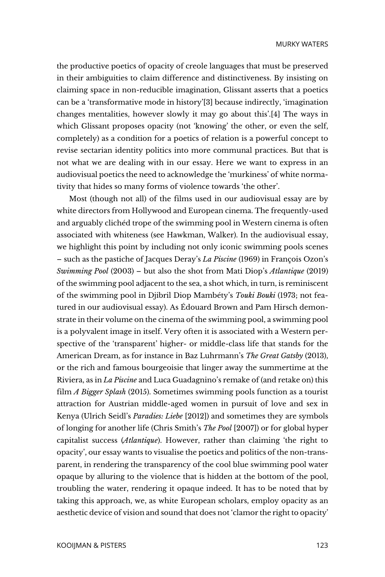the productive poetics of opacity of creole languages that must be preserved in their ambiguities to claim difference and distinctiveness. By insisting on claiming space in non-reducible imagination, Glissant asserts that a poetics can be a 'transformative mode in history'[3] because indirectly, 'imagination changes mentalities, however slowly it may go about this'.[4] The ways in which Glissant proposes opacity (not 'knowing' the other, or even the self, completely) as a condition for a poetics of relation is a powerful concept to revise sectarian identity politics into more communal practices. But that is not what we are dealing with in our essay. Here we want to express in an audiovisual poetics the need to acknowledge the 'murkiness' of white normativity that hides so many forms of violence towards 'the other'.

Most (though not all) of the films used in our audiovisual essay are by white directors from Hollywood and European cinema. The frequently-used and arguably clichéd trope of the swimming pool in Western cinema is often associated with whiteness (see Hawkman, Walker). In the audiovisual essay, we highlight this point by including not only iconic swimming pools scenes – such as the pastiche of Jacques Deray's *La Piscine* (1969) in François Ozon's *Swimming Pool* (2003) – but also the shot from Mati Diop's *Atlantique* (2019) of the swimming pool adjacent to the sea, a shot which, in turn, is reminiscent of the swimming pool in Djibril Diop Mambéty's *Touki Bouki* (1973; not featured in our audiovisual essay). As Édouard Brown and Pam Hirsch demonstrate in their volume on the cinema of the swimming pool, a swimming pool is a polyvalent image in itself. Very often it is associated with a Western perspective of the 'transparent' higher- or middle-class life that stands for the American Dream, as for instance in Baz Luhrmann's *The Great Gatsby* (2013), or the rich and famous bourgeoisie that linger away the summertime at the Riviera, as in *La Piscine* and Luca Guadagnino's remake of (and retake on) this film *A Bigger Splash* (2015). Sometimes swimming pools function as a tourist attraction for Austrian middle-aged women in pursuit of love and sex in Kenya (Ulrich Seidl's *Paradies: Liebe* [2012]) and sometimes they are symbols of longing for another life (Chris Smith's *The Pool* [2007]) or for global hyper capitalist success (*Atlantique*). However, rather than claiming 'the right to opacity', our essay wants to visualise the poetics and politics of the non-transparent, in rendering the transparency of the cool blue swimming pool water opaque by alluring to the violence that is hidden at the bottom of the pool, troubling the water, rendering it opaque indeed. It has to be noted that by taking this approach, we, as white European scholars, employ opacity as an aesthetic device of vision and sound that does not 'clamor the right to opacity'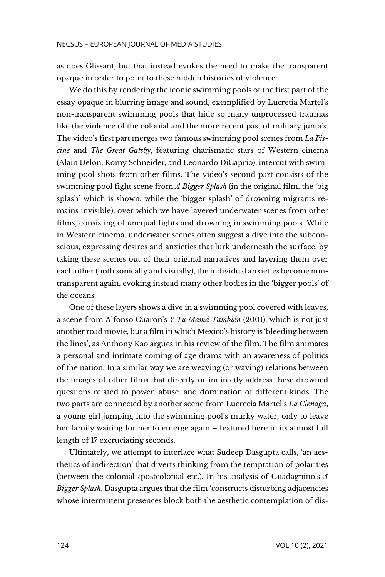as does Glissant, but that instead evokes the need to make the transparent opaque in order to point to these hidden histories of violence.

We do this by rendering the iconic swimming pools of the first part of the essay opaque in blurring image and sound, exemplified by Lucretia Martel's non-transparent swimming pools that hide so many unprocessed traumas like the violence of the colonial and the more recent past of military junta's. The video's first part merges two famous swimming pool scenes from *La Piscine* and *The Great Gatsby*, featuring charismatic stars of Western cinema (Alain Delon, Romy Schneider, and Leonardo DiCaprio), intercut with swimming pool shots from other films. The video's second part consists of the swimming pool fight scene from *A Bigger Splash* (in the original film, the 'big splash' which is shown, while the 'bigger splash' of drowning migrants remains invisible), over which we have layered underwater scenes from other films, consisting of unequal fights and drowning in swimming pools. While in Western cinema, underwater scenes often suggest a dive into the subconscious, expressing desires and anxieties that lurk underneath the surface, by taking these scenes out of their original narratives and layering them over each other (both sonically and visually), the individual anxieties become nontransparent again, evoking instead many other bodies in the 'bigger pools' of the oceans.

One of these layers shows a dive in a swimming pool covered with leaves, a scene from Alfonso Cuarón's *Y Tu Mamá También* (2001), which is not just another road movie, but a film in which Mexico's history is 'bleeding between the lines', as Anthony Kao argues in his review of the film. The film animates a personal and intimate coming of age drama with an awareness of politics of the nation. In a similar way we are weaving (or waving) relations between the images of other films that directly or indirectly address these drowned questions related to power, abuse, and domination of different kinds. The two parts are connected by another scene from Lucrecia Martel's *La Cienaga*, a young girl jumping into the swimming pool's murky water, only to leave her family waiting for her to emerge again – featured here in its almost full length of 17 excruciating seconds.

Ultimately, we attempt to interlace what Sudeep Dasgupta calls, 'an aesthetics of indirection' that diverts thinking from the temptation of polarities (between the colonial /postcolonial etc.). In his analysis of Guadagnino's *A Bigger Splash*, Dasgupta argues that the film 'constructs disturbing adjacencies whose intermittent presences block both the aesthetic contemplation of dis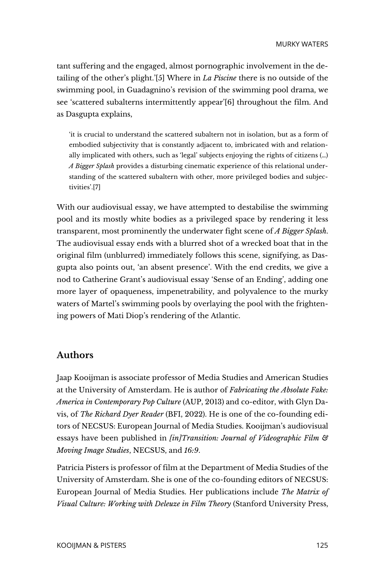tant suffering and the engaged, almost pornographic involvement in the detailing of the other's plight.'[5] Where in *La Piscine* there is no outside of the swimming pool, in Guadagnino's revision of the swimming pool drama, we see 'scattered subalterns intermittently appear'[6] throughout the film. And as Dasgupta explains,

'it is crucial to understand the scattered subaltern not in isolation, but as a form of embodied subjectivity that is constantly adjacent to, imbricated with and relationally implicated with others, such as 'legal' subjects enjoying the rights of citizens (…) *A Bigger Splash* provides a disturbing cinematic experience of this relational understanding of the scattered subaltern with other, more privileged bodies and subjectivities'.[7]

With our audiovisual essay, we have attempted to destabilise the swimming pool and its mostly white bodies as a privileged space by rendering it less transparent, most prominently the underwater fight scene of *A Bigger Splash*. The audiovisual essay ends with a blurred shot of a wrecked boat that in the original film (unblurred) immediately follows this scene, signifying, as Dasgupta also points out, 'an absent presence'. With the end credits, we give a nod to Catherine Grant's audiovisual essay 'Sense of an Ending', adding one more layer of opaqueness, impenetrability, and polyvalence to the murky waters of Martel's swimming pools by overlaying the pool with the frightening powers of Mati Diop's rendering of the Atlantic.

### **Authors**

Jaap Kooijman is associate professor of Media Studies and American Studies at the University of Amsterdam. He is author of *Fabricating the Absolute Fake: America in Contemporary Pop Culture* (AUP, 2013) and co-editor, with Glyn Davis, of *The Richard Dyer Reader* (BFI, 2022). He is one of the co-founding editors of NECSUS: European Journal of Media Studies. Kooijman's audiovisual essays have been published in *[in]Transition: Journal of Videographic Film & Moving Image Studies*, NECSUS, and *16:9*.

Patricia Pisters is professor of film at the Department of Media Studies of the University of Amsterdam. She is one of the co-founding editors of NECSUS: European Journal of Media Studies. Her publications include *The Matrix of Visual Culture: Working with Deleuze in Film Theory* (Stanford University Press,